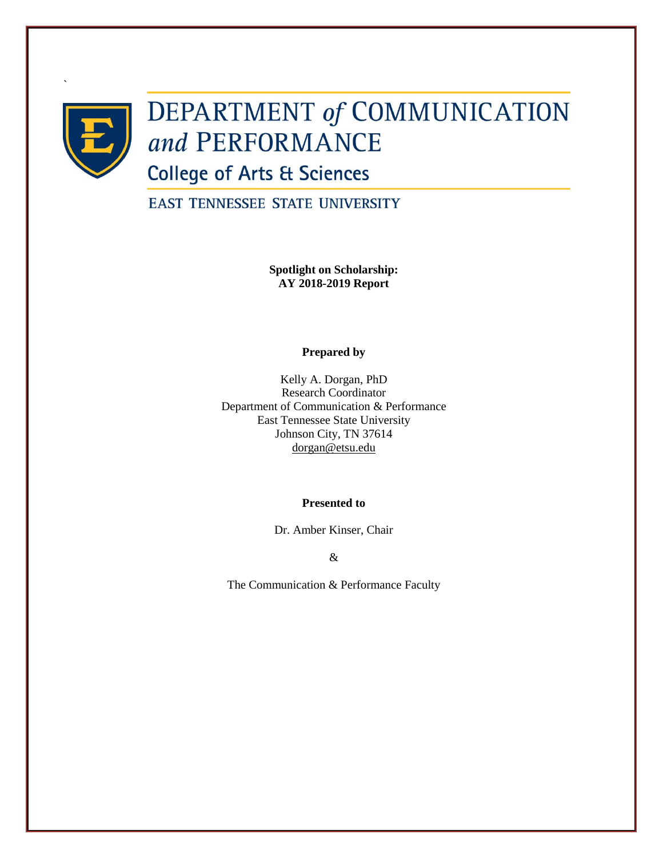

`

# DEPARTMENT of COMMUNICATION and PERFORMANCE

**College of Arts & Sciences** 

**EAST TENNESSEE STATE UNIVERSITY** 

**Spotlight on Scholarship: AY 2018-2019 Report**

**Prepared by**

Kelly A. Dorgan, PhD Research Coordinator Department of Communication & Performance East Tennessee State University Johnson City, TN 37614 [dorgan@etsu.edu](mailto:dorgan@etsu.edu)

## **Presented to**

Dr. Amber Kinser, Chair

&

The Communication & Performance Faculty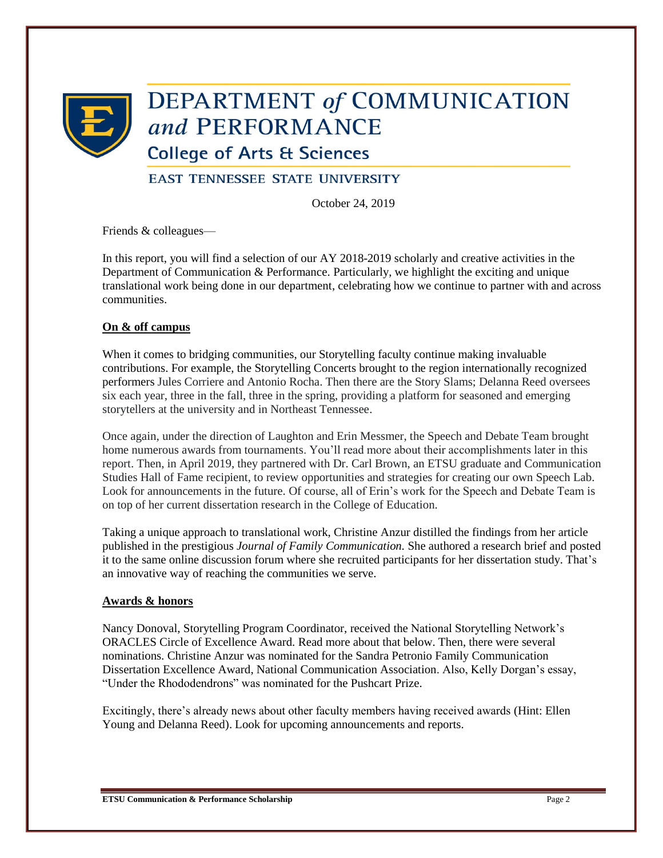

# **DEPARTMENT of COMMUNICATION** and PERFORMANCE

**College of Arts & Sciences** 

# **EAST TENNESSEE STATE UNIVERSITY**

October 24, 2019

Friends & colleagues—

In this report, you will find a selection of our AY 2018-2019 scholarly and creative activities in the Department of Communication & Performance. Particularly, we highlight the exciting and unique translational work being done in our department, celebrating how we continue to partner with and across communities.

## **On & off campus**

When it comes to bridging communities, our Storytelling faculty continue making invaluable contributions. For example, the Storytelling Concerts brought to the region internationally recognized performers Jules Corriere and Antonio Rocha. Then there are the Story Slams; Delanna Reed oversees six each year, three in the fall, three in the spring, providing a platform for seasoned and emerging storytellers at the university and in Northeast Tennessee.

Once again, under the direction of Laughton and Erin Messmer, the Speech and Debate Team brought home numerous awards from tournaments. You'll read more about their accomplishments later in this report. Then, in April 2019, they partnered with Dr. Carl Brown, an ETSU graduate and Communication Studies Hall of Fame recipient, to review opportunities and strategies for creating our own Speech Lab. Look for announcements in the future. Of course, all of Erin's work for the Speech and Debate Team is on top of her current dissertation research in the College of Education.

Taking a unique approach to translational work, Christine Anzur distilled the findings from her article published in the prestigious *Journal of Family Communication.* She authored a research brief and posted it to the same online discussion forum where she recruited participants for her dissertation study. That's an innovative way of reaching the communities we serve.

## **Awards & honors**

Nancy Donoval, Storytelling Program Coordinator, received the National Storytelling Network's ORACLES Circle of Excellence Award. Read more about that below. Then, there were several nominations. Christine Anzur was nominated for the Sandra Petronio Family Communication Dissertation Excellence Award, National Communication Association. Also, Kelly Dorgan's essay, "Under the Rhododendrons" was nominated for the Pushcart Prize.

Excitingly, there's already news about other faculty members having received awards (Hint: Ellen Young and Delanna Reed). Look for upcoming announcements and reports.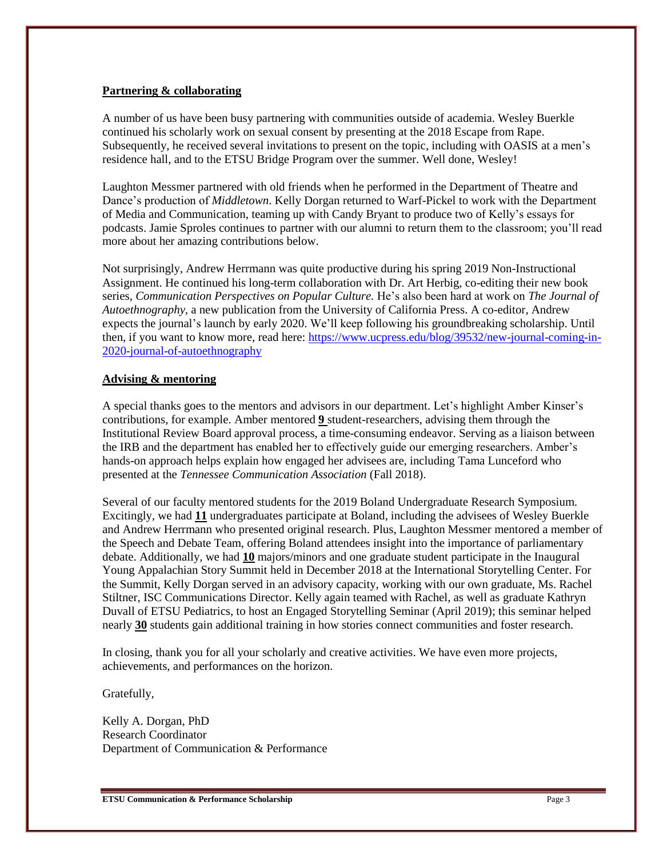### **Partnering & collaborating**

A number of us have been busy partnering with communities outside of academia. Wesley Buerkle continued his scholarly work on sexual consent by presenting at the 2018 Escape from Rape. Subsequently, he received several invitations to present on the topic, including with OASIS at a men's residence hall, and to the ETSU Bridge Program over the summer. Well done, Wesley!

Laughton Messmer partnered with old friends when he performed in the Department of Theatre and Dance's production of *Middletown*. Kelly Dorgan returned to Warf-Pickel to work with the Department of Media and Communication, teaming up with Candy Bryant to produce two of Kelly's essays for podcasts. Jamie Sproles continues to partner with our alumni to return them to the classroom; you'll read more about her amazing contributions below.

Not surprisingly, Andrew Herrmann was quite productive during his spring 2019 Non-Instructional Assignment. He continued his long-term collaboration with Dr. Art Herbig, co-editing their new book series, *Communication Perspectives on Popular Culture.* He's also been hard at work on *The Journal of Autoethnography,* a new publication from the University of California Press. A co-editor, Andrew expects the journal's launch by early 2020. We'll keep following his groundbreaking scholarship. Until then, if you want to know more, read here: [https://www.ucpress.edu/blog/39532/new-journal-coming-in-](https://www.ucpress.edu/blog/39532/new-journal-coming-in-2020-journal-of-autoethnography)[2020-journal-of-autoethnography](https://www.ucpress.edu/blog/39532/new-journal-coming-in-2020-journal-of-autoethnography)

## **Advising & mentoring**

A special thanks goes to the mentors and advisors in our department. Let's highlight Amber Kinser's contributions, for example. Amber mentored **9** student-researchers, advising them through the Institutional Review Board approval process, a time-consuming endeavor. Serving as a liaison between the IRB and the department has enabled her to effectively guide our emerging researchers. Amber's hands-on approach helps explain how engaged her advisees are, including Tama Lunceford who presented at the *Tennessee Communication Association* (Fall 2018).

Several of our faculty mentored students for the 2019 Boland Undergraduate Research Symposium. Excitingly, we had **11** undergraduates participate at Boland, including the advisees of Wesley Buerkle and Andrew Herrmann who presented original research. Plus, Laughton Messmer mentored a member of the Speech and Debate Team, offering Boland attendees insight into the importance of parliamentary debate. Additionally, we had **10** majors/minors and one graduate student participate in the Inaugural Young Appalachian Story Summit held in December 2018 at the International Storytelling Center. For the Summit, Kelly Dorgan served in an advisory capacity, working with our own graduate, Ms. Rachel Stiltner, ISC Communications Director. Kelly again teamed with Rachel, as well as graduate Kathryn Duvall of ETSU Pediatrics, to host an Engaged Storytelling Seminar (April 2019); this seminar helped nearly **30** students gain additional training in how stories connect communities and foster research.

In closing, thank you for all your scholarly and creative activities. We have even more projects, achievements, and performances on the horizon.

Gratefully,

Kelly A. Dorgan, PhD Research Coordinator Department of Communication & Performance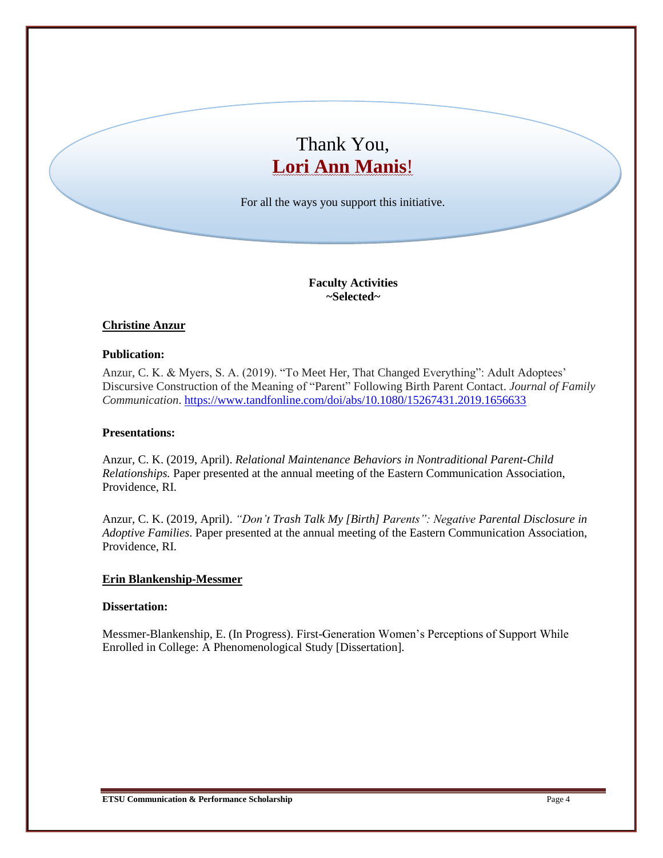# Thank You, **Lori Ann Manis**!

For all the ways you support this initiative.

**Faculty Activities ~Selected~**

## **Christine Anzur**

### **Publication:**

Anzur, C. K. & Myers, S. A. (2019). "To Meet Her, That Changed Everything": Adult Adoptees' Discursive Construction of the Meaning of "Parent" Following Birth Parent Contact. *Journal of Family Communication*.<https://www.tandfonline.com/doi/abs/10.1080/15267431.2019.1656633>

## **Presentations:**

Anzur, C. K. (2019, April). *Relational Maintenance Behaviors in Nontraditional Parent-Child Relationships.* Paper presented at the annual meeting of the Eastern Communication Association, Providence, RI.

Anzur, C. K. (2019, April). *"Don't Trash Talk My [Birth] Parents": Negative Parental Disclosure in Adoptive Families*. Paper presented at the annual meeting of the Eastern Communication Association, Providence, RI.

### **Erin Blankenship-Messmer**

#### **Dissertation:**

Messmer-Blankenship, E. (In Progress). First-Generation Women's Perceptions of Support While Enrolled in College: A Phenomenological Study [Dissertation].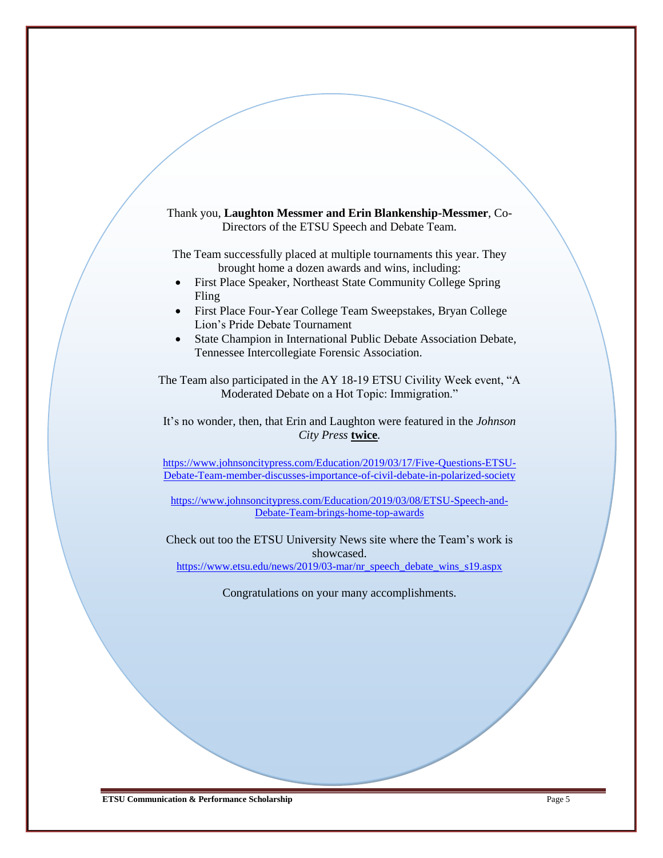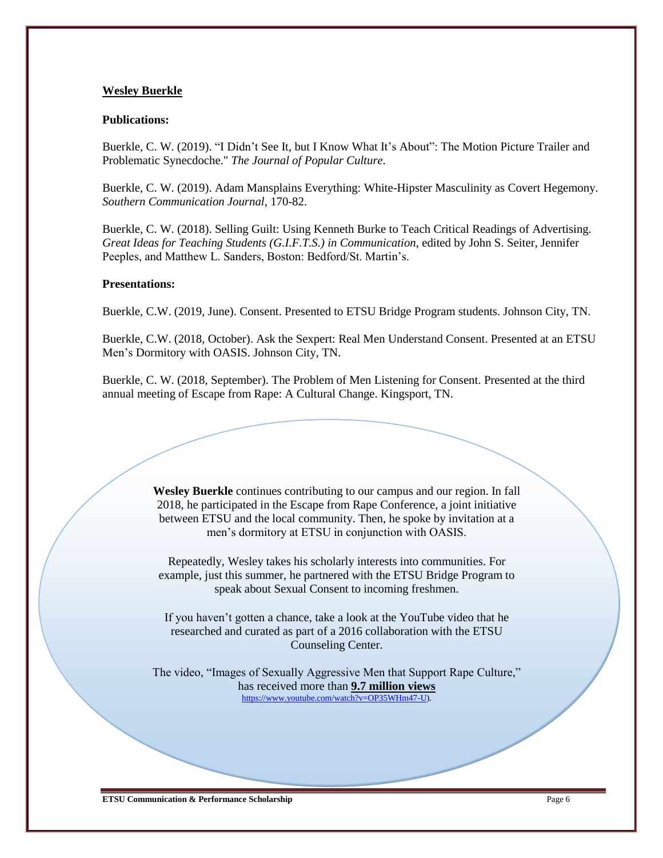### **Wesley Buerkle**

#### **Publications:**

Buerkle, C. W. (2019). "I Didn't See It, but I Know What It's About": The Motion Picture Trailer and Problematic Synecdoche." *The Journal of Popular Culture.*

Buerkle, C. W. (2019). Adam Mansplains Everything: White-Hipster Masculinity as Covert Hegemony. *Southern Communication Journal*, 170-82.

Buerkle, C. W. (2018). Selling Guilt: Using Kenneth Burke to Teach Critical Readings of Advertising. *Great Ideas for Teaching Students (G.I.F.T.S.) in Communication*, edited by John S. Seiter, Jennifer Peeples, and Matthew L. Sanders, Boston: Bedford/St. Martin's.

#### **Presentations:**

Buerkle, C.W. (2019, June). Consent. Presented to ETSU Bridge Program students. Johnson City, TN.

Buerkle, C.W. (2018, October). Ask the Sexpert: Real Men Understand Consent. Presented at an ETSU Men's Dormitory with OASIS. Johnson City, TN.

Buerkle, C. W. (2018, September). The Problem of Men Listening for Consent. Presented at the third annual meeting of Escape from Rape: A Cultural Change. Kingsport, TN.

> **Wesley Buerkle** continues contributing to our campus and our region. In fall 2018, he participated in the Escape from Rape Conference, a joint initiative between ETSU and the local community. Then, he spoke by invitation at a men's dormitory at ETSU in conjunction with OASIS.

Repeatedly, Wesley takes his scholarly interests into communities. For example, just this summer, he partnered with the ETSU Bridge Program to speak about Sexual Consent to incoming freshmen.

If you haven't gotten a chance, take a look at the YouTube video that he researched and curated as part of a 2016 collaboration with the ETSU Counseling Center.

The video, "Images of Sexually Aggressive Men that Support Rape Culture," has received more than **9.7 million views** [https://www.youtube.com/watch?v=OP35WHm47-U\)](https://www.youtube.com/watch?v=OP35WHm47-U).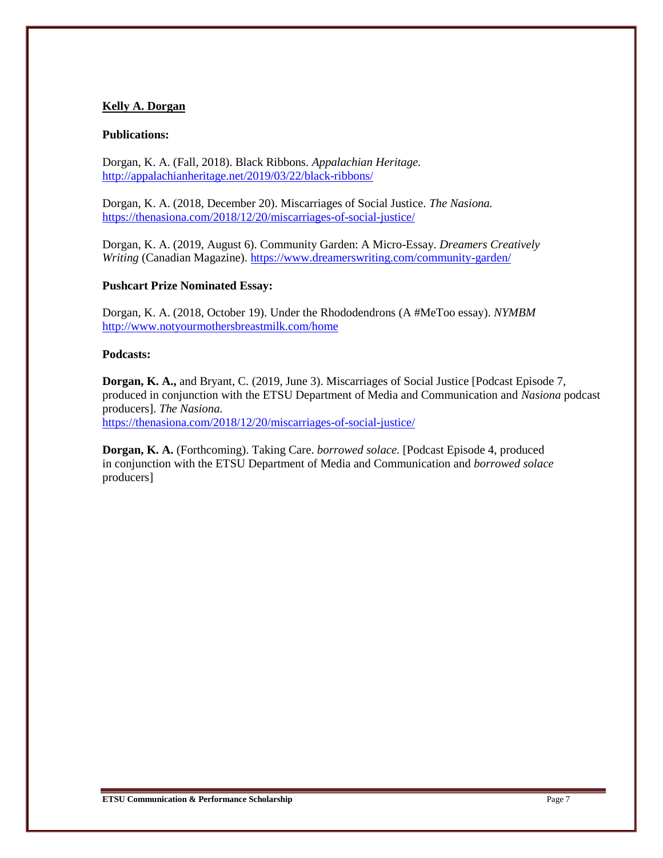## **Kelly A. Dorgan**

#### **Publications:**

Dorgan, K. A. (Fall, 2018). Black Ribbons. *Appalachian Heritage.* <http://appalachianheritage.net/2019/03/22/black-ribbons/>

Dorgan, K. A. (2018, December 20). Miscarriages of Social Justice. *The Nasiona.* <https://thenasiona.com/2018/12/20/miscarriages-of-social-justice/>

Dorgan, K. A. (2019, August 6). Community Garden: A Micro-Essay. *Dreamers Creatively Writing* (Canadian Magazine). <https://www.dreamerswriting.com/community-garden/>

### **Pushcart Prize Nominated Essay:**

Dorgan, K. A. (2018, October 19). Under the Rhododendrons (A #MeToo essay). *NYMBM* <http://www.notyourmothersbreastmilk.com/home>

### **Podcasts:**

**Dorgan, K. A.,** and Bryant, C. (2019, June 3). Miscarriages of Social Justice [Podcast Episode 7, produced in conjunction with the ETSU Department of Media and Communication and *Nasiona* podcast producers]. *The Nasiona.*

<https://thenasiona.com/2018/12/20/miscarriages-of-social-justice/>

**Dorgan, K. A.** (Forthcoming). Taking Care. *borrowed solace.* [Podcast Episode 4, produced in conjunction with the ETSU Department of Media and Communication and *borrowed solace*  producers]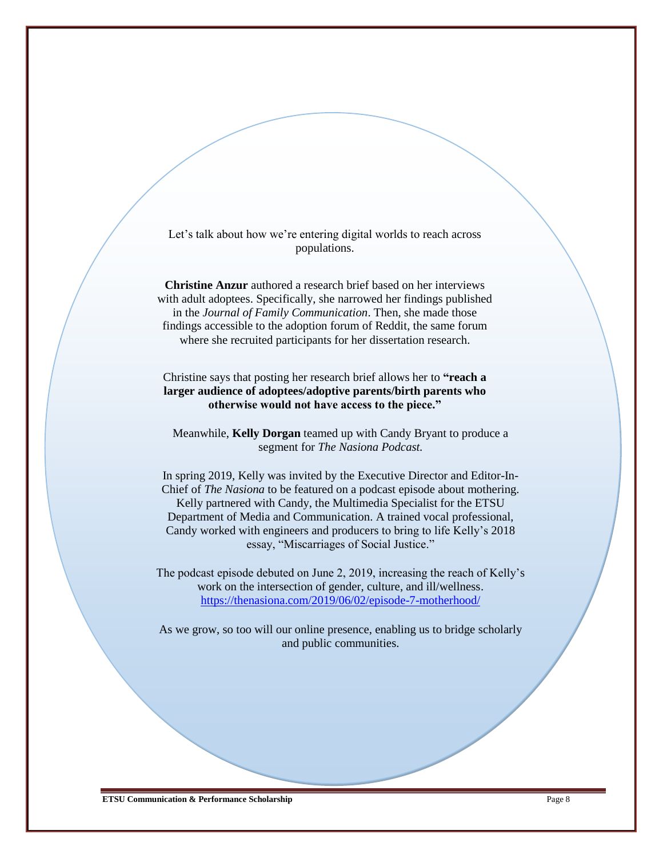Let's talk about how we're entering digital worlds to reach across populations.

**Christine Anzur** authored a research brief based on her interviews with adult adoptees. Specifically, she narrowed her findings published in the *Journal of Family Communication*. Then, she made those findings accessible to the adoption forum of Reddit, the same forum where she recruited participants for her dissertation research.

Christine says that posting her research brief allows her to **"reach a larger audience of adoptees/adoptive parents/birth parents who otherwise would not have access to the piece."**

Meanwhile, **Kelly Dorgan** teamed up with Candy Bryant to produce a segment for *The Nasiona Podcast.*

In spring 2019, Kelly was invited by the Executive Director and Editor-In-Chief of *The Nasiona* to be featured on a podcast episode about mothering. Kelly partnered with Candy, the Multimedia Specialist for the ETSU Department of Media and Communication. A trained vocal professional, Candy worked with engineers and producers to bring to life Kelly's 2018 essay, "Miscarriages of Social Justice."

The podcast episode debuted on June 2, 2019, increasing the reach of Kelly's work on the intersection of gender, culture, and ill/wellness. <https://thenasiona.com/2019/06/02/episode-7-motherhood/>

As we grow, so too will our online presence, enabling us to bridge scholarly and public communities.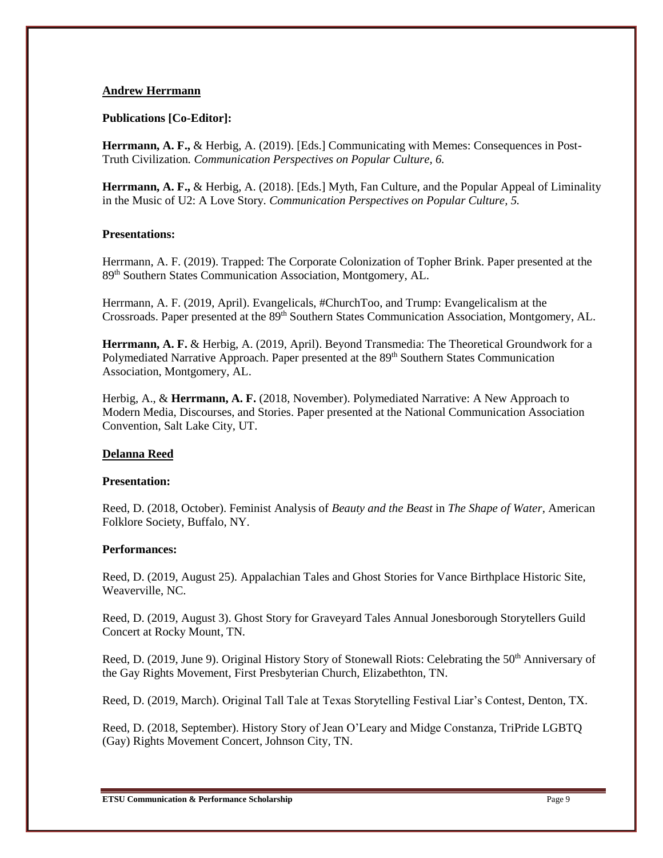#### **Andrew Herrmann**

### **Publications [Co-Editor]:**

**Herrmann, A. F.,** & Herbig, A. (2019). [Eds.] Communicating with Memes: Consequences in Post-Truth Civilization*. Communication Perspectives on Popular Culture, 6.* 

**Herrmann, A. F.,** & Herbig, A. (2018). [Eds.] Myth, Fan Culture, and the Popular Appeal of Liminality in the Music of U2: A Love Story*. Communication Perspectives on Popular Culture, 5.* 

### **Presentations:**

Herrmann, A. F. (2019). Trapped: The Corporate Colonization of Topher Brink. Paper presented at the 89th Southern States Communication Association, Montgomery, AL.

Herrmann, A. F. (2019, April). Evangelicals, #ChurchToo, and Trump: Evangelicalism at the Crossroads. Paper presented at the 89<sup>th</sup> Southern States Communication Association, Montgomery, AL.

**Herrmann, A. F.** & Herbig, A. (2019, April). Beyond Transmedia: The Theoretical Groundwork for a Polymediated Narrative Approach. Paper presented at the 89<sup>th</sup> Southern States Communication Association, Montgomery, AL.

Herbig, A., & **Herrmann, A. F.** (2018, November). Polymediated Narrative: A New Approach to Modern Media, Discourses, and Stories. Paper presented at the National Communication Association Convention, Salt Lake City, UT.

## **Delanna Reed**

#### **Presentation:**

Reed, D. (2018, October). Feminist Analysis of *Beauty and the Beast* in *The Shape of Water*, American Folklore Society, Buffalo, NY.

#### **Performances:**

Reed, D. (2019, August 25). Appalachian Tales and Ghost Stories for Vance Birthplace Historic Site, Weaverville, NC.

Reed, D. (2019, August 3). Ghost Story for Graveyard Tales Annual Jonesborough Storytellers Guild Concert at Rocky Mount, TN.

Reed, D. (2019, June 9). Original History Story of Stonewall Riots: Celebrating the 50<sup>th</sup> Anniversary of the Gay Rights Movement, First Presbyterian Church, Elizabethton, TN.

Reed, D. (2019, March). Original Tall Tale at Texas Storytelling Festival Liar's Contest, Denton, TX.

Reed, D. (2018, September). History Story of Jean O'Leary and Midge Constanza, TriPride LGBTQ (Gay) Rights Movement Concert, Johnson City, TN.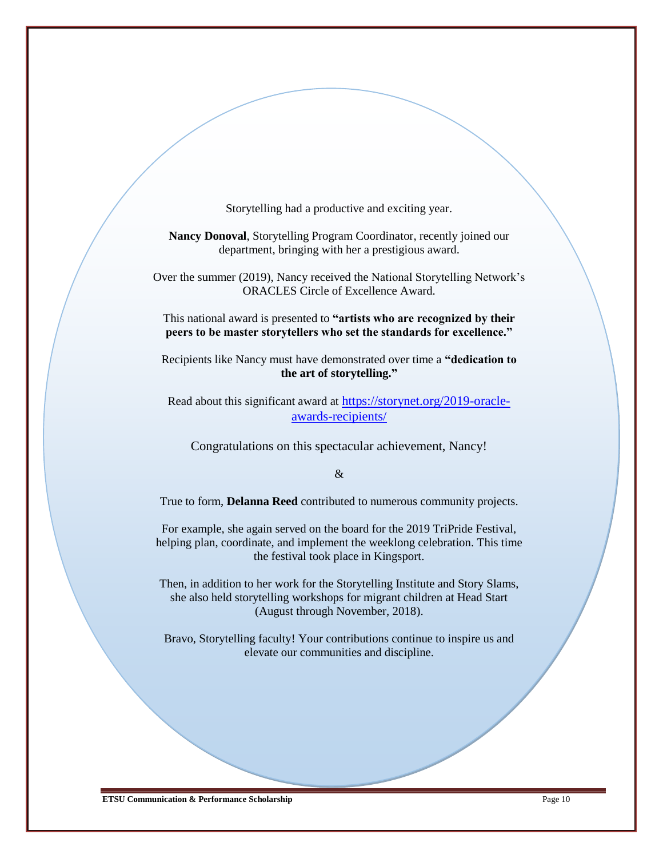Storytelling had a productive and exciting year.

**Nancy Donoval**, Storytelling Program Coordinator, recently joined our department, bringing with her a prestigious award.

Over the summer (2019), Nancy received the National Storytelling Network's ORACLES Circle of Excellence Award.

This national award is presented to **"artists who are recognized by their peers to be master storytellers who set the standards for excellence."**

Recipients like Nancy must have demonstrated over time a **"dedication to the art of storytelling."**

Read about this significant award at [https://storynet.org/2019-oracle](https://storynet.org/2019-oracle-awards-recipients/)[awards-recipients/](https://storynet.org/2019-oracle-awards-recipients/)

Congratulations on this spectacular achievement, Nancy!

 $\mathcal{R}$ 

True to form, **Delanna Reed** contributed to numerous community projects.

For example, she again served on the board for the 2019 TriPride Festival, helping plan, coordinate, and implement the weeklong celebration. This time the festival took place in Kingsport.

Then, in addition to her work for the Storytelling Institute and Story Slams, she also held storytelling workshops for migrant children at Head Start (August through November, 2018).

Bravo, Storytelling faculty! Your contributions continue to inspire us and elevate our communities and discipline.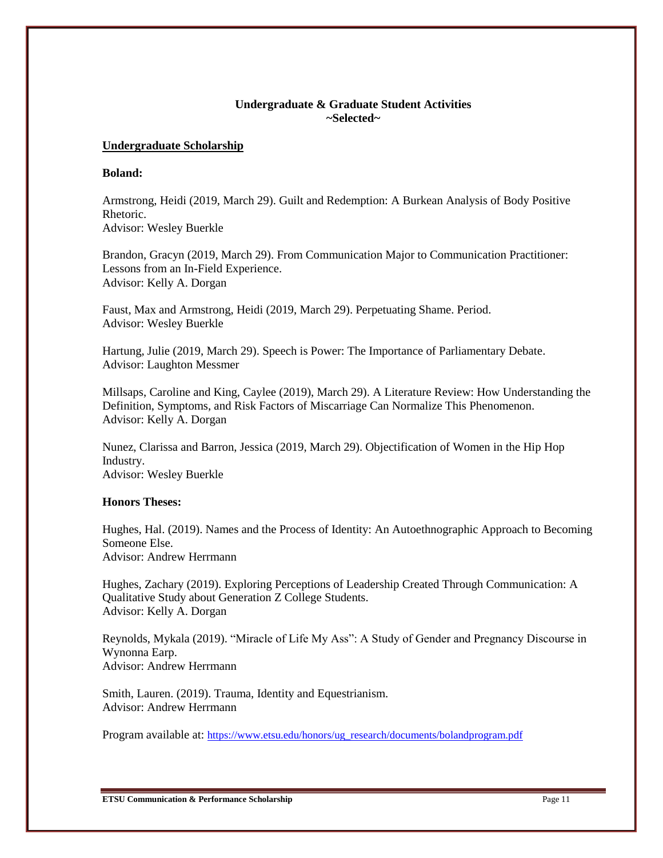## **Undergraduate & Graduate Student Activities ~Selected~**

#### **Undergraduate Scholarship**

#### **Boland:**

Armstrong, Heidi (2019, March 29). Guilt and Redemption: A Burkean Analysis of Body Positive Rhetoric. Advisor: Wesley Buerkle

Brandon, Gracyn (2019, March 29). From Communication Major to Communication Practitioner: Lessons from an In-Field Experience. Advisor: Kelly A. Dorgan

Faust, Max and Armstrong, Heidi (2019, March 29). Perpetuating Shame. Period. Advisor: Wesley Buerkle

Hartung, Julie (2019, March 29). Speech is Power: The Importance of Parliamentary Debate. Advisor: Laughton Messmer

Millsaps, Caroline and King, Caylee (2019), March 29). A Literature Review: How Understanding the Definition, Symptoms, and Risk Factors of Miscarriage Can Normalize This Phenomenon. Advisor: Kelly A. Dorgan

Nunez, Clarissa and Barron, Jessica (2019, March 29). Objectification of Women in the Hip Hop Industry. Advisor: Wesley Buerkle

### **Honors Theses:**

Hughes, Hal. (2019). Names and the Process of Identity: An Autoethnographic Approach to Becoming Someone Else. Advisor: Andrew Herrmann

Hughes, Zachary (2019). Exploring Perceptions of Leadership Created Through Communication: A Qualitative Study about Generation Z College Students. Advisor: Kelly A. Dorgan

Reynolds, Mykala (2019). "Miracle of Life My Ass": A Study of Gender and Pregnancy Discourse in Wynonna Earp. Advisor: Andrew Herrmann

Smith, Lauren. (2019). Trauma, Identity and Equestrianism. Advisor: Andrew Herrmann

Program available at: [https://www.etsu.edu/honors/ug\\_research/documents/bolandprogram.pdf](https://www.etsu.edu/honors/ug_research/documents/bolandprogram.pdf)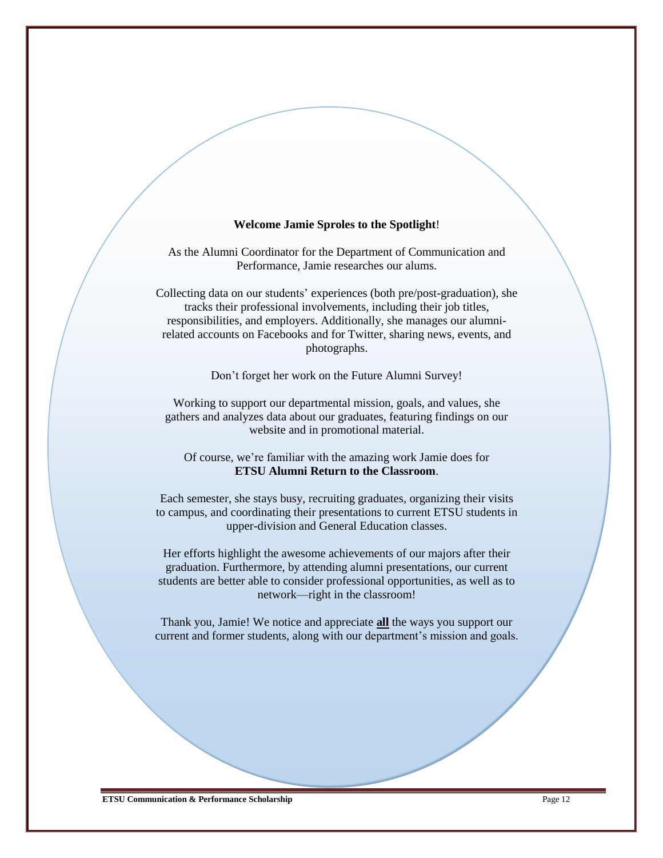#### **Welcome Jamie Sproles to the Spotlight**!

As the Alumni Coordinator for the Department of Communication and Performance, Jamie researches our alums.

Collecting data on our students' experiences (both pre/post-graduation), she tracks their professional involvements, including their job titles, responsibilities, and employers. Additionally, she manages our alumnirelated accounts on Facebooks and for Twitter, sharing news, events, and photographs.

Don't forget her work on the Future Alumni Survey!

Working to support our departmental mission, goals, and values, she gathers and analyzes data about our graduates, featuring findings on our website and in promotional material.

Of course, we're familiar with the amazing work Jamie does for **ETSU Alumni Return to the Classroom**.

Each semester, she stays busy, recruiting graduates, organizing their visits to campus, and coordinating their presentations to current ETSU students in upper-division and General Education classes.

Her efforts highlight the awesome achievements of our majors after their graduation. Furthermore, by attending alumni presentations, our current students are better able to consider professional opportunities, as well as to network—right in the classroom!

Thank you, Jamie! We notice and appreciate **all** the ways you support our current and former students, along with our department's mission and goals.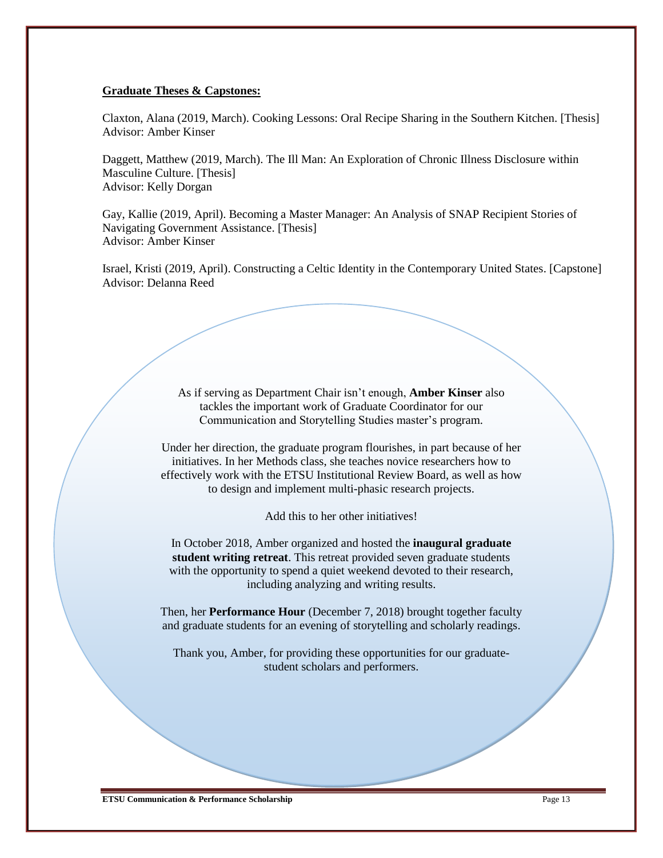#### **Graduate Theses & Capstones:**

Claxton, Alana (2019, March). Cooking Lessons: Oral Recipe Sharing in the Southern Kitchen. [Thesis] Advisor: Amber Kinser

Daggett, Matthew (2019, March). The Ill Man: An Exploration of Chronic Illness Disclosure within Masculine Culture. [Thesis] Advisor: Kelly Dorgan

Gay, Kallie (2019, April). Becoming a Master Manager: An Analysis of SNAP Recipient Stories of Navigating Government Assistance. [Thesis] Advisor: Amber Kinser

Israel, Kristi (2019, April). Constructing a Celtic Identity in the Contemporary United States. [Capstone] Advisor: Delanna Reed

> As if serving as Department Chair isn't enough, **Amber Kinser** also tackles the important work of Graduate Coordinator for our Communication and Storytelling Studies master's program.

Under her direction, the graduate program flourishes, in part because of her initiatives. In her Methods class, she teaches novice researchers how to effectively work with the ETSU Institutional Review Board, as well as how to design and implement multi-phasic research projects.

Add this to her other initiatives!

In October 2018, Amber organized and hosted the **inaugural graduate student writing retreat**. This retreat provided seven graduate students with the opportunity to spend a quiet weekend devoted to their research, including analyzing and writing results.

Then, her **Performance Hour** (December 7, 2018) brought together faculty and graduate students for an evening of storytelling and scholarly readings.

Thank you, Amber, for providing these opportunities for our graduatestudent scholars and performers.